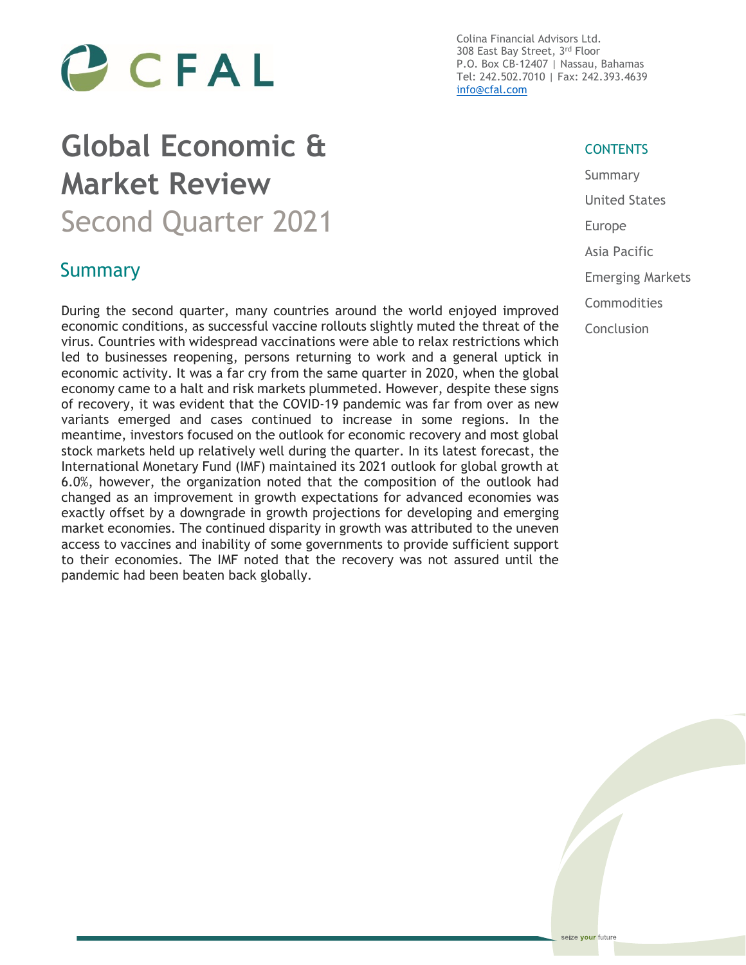

# **Global Economic & Market Review** Second Quarter 2021

### Summary

During the second quarter, many countries around the world enjoyed improved economic conditions, as successful vaccine rollouts slightly muted the threat of the virus. Countries with widespread vaccinations were able to relax restrictions which led to businesses reopening, persons returning to work and a general uptick in economic activity. It was a far cry from the same quarter in 2020, when the global economy came to a halt and risk markets plummeted. However, despite these signs of recovery, it was evident that the COVID-19 pandemic was far from over as new variants emerged and cases continued to increase in some regions. In the meantime, investors focused on the outlook for economic recovery and most global stock markets held up relatively well during the quarter. In its latest forecast, the International Monetary Fund (IMF) maintained its 2021 outlook for global growth at 6.0%, however, the organization noted that the composition of the outlook had changed as an improvement in growth expectations for advanced economies was exactly offset by a downgrade in growth projections for developing and emerging market economies. The continued disparity in growth was attributed to the uneven access to vaccines and inability of some governments to provide sufficient support to their economies. The IMF noted that the recovery was not assured until the pandemic had been beaten back globally.

Colina Financial Advisors Ltd. 308 East Bay Street, 3rd Floor P.O. Box CB-12407 | Nassau, Bahamas Tel: 242.502.7010 | Fax: 242.393.4639 [info@cfal.com](mailto:info@cfal.com)

#### **CONTENTS**

Summary United States Europe Asia Pacific Emerging Markets Commodities Conclusion

seize your future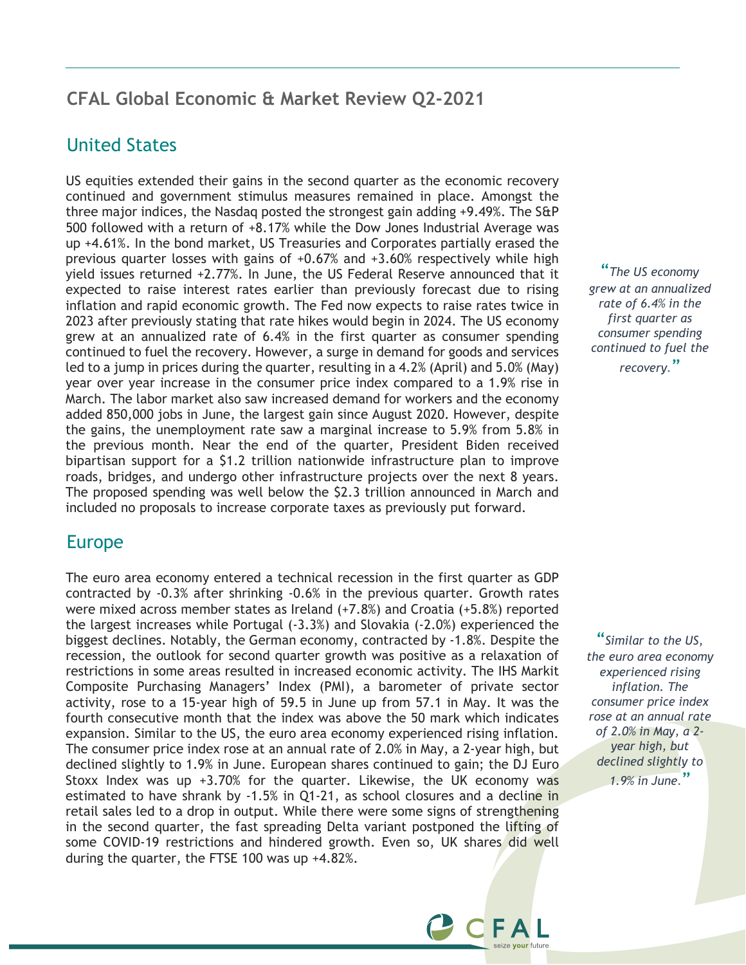#### **CFAL Global Economic & Market Review Q2-2021**

#### United States

US equities extended their gains in the second quarter as the economic recovery continued and government stimulus measures remained in place. Amongst the three major indices, the Nasdaq posted the strongest gain adding +9.49%. The S&P 500 followed with a return of +8.17% while the Dow Jones Industrial Average was up +4.61%. In the bond market, US Treasuries and Corporates partially erased the previous quarter losses with gains of +0.67% and +3.60% respectively while high yield issues returned +2.77%. In June, the US Federal Reserve announced that it expected to raise interest rates earlier than previously forecast due to rising inflation and rapid economic growth. The Fed now expects to raise rates twice in 2023 after previously stating that rate hikes would begin in 2024. The US economy grew at an annualized rate of 6.4% in the first quarter as consumer spending continued to fuel the recovery. However, a surge in demand for goods and services led to a jump in prices during the quarter, resulting in a 4.2% (April) and 5.0% (May) year over year increase in the consumer price index compared to a 1.9% rise in March. The labor market also saw increased demand for workers and the economy added 850,000 jobs in June, the largest gain since August 2020. However, despite the gains, the unemployment rate saw a marginal increase to 5.9% from 5.8% in the previous month. Near the end of the quarter, President Biden received bipartisan support for a \$1.2 trillion nationwide infrastructure plan to improve roads, bridges, and undergo other infrastructure projects over the next 8 years. The proposed spending was well below the \$2.3 trillion announced in March and included no proposals to increase corporate taxes as previously put forward.

#### Europe

The euro area economy entered a technical recession in the first quarter as GDP contracted by -0.3% after shrinking -0.6% in the previous quarter. Growth rates were mixed across member states as Ireland (+7.8%) and Croatia (+5.8%) reported the largest increases while Portugal (-3.3%) and Slovakia (-2.0%) experienced the biggest declines. Notably, the German economy, contracted by -1.8%. Despite the recession, the outlook for second quarter growth was positive as a relaxation of restrictions in some areas resulted in increased economic activity. The IHS Markit Composite Purchasing Managers' Index (PMI), a barometer of private sector activity, rose to a 15-year high of 59.5 in June up from 57.1 in May. It was the fourth consecutive month that the index was above the 50 mark which indicates expansion. Similar to the US, the euro area economy experienced rising inflation. The consumer price index rose at an annual rate of 2.0% in May, a 2-year high, but declined slightly to 1.9% in June. European shares continued to gain; the DJ Euro Stoxx Index was up  $+3.70\%$  for the quarter. Likewise, the UK economy was estimated to have shrank by -1.5% in Q1-21, as school closures and a decline in retail sales led to a drop in output. While there were some signs of strengthening in the second quarter, the fast spreading Delta variant postponed the lifting of some COVID-19 restrictions and hindered growth. Even so, UK shares did well during the quarter, the FTSE 100 was up +4.82%.

"*The US economy grew at an annualized rate of 6.4% in the first quarter as consumer spending continued to fuel the recovery.*"

"*Similar to the US, the euro area economy experienced rising inflation. The consumer price index rose at an annual rate of 2.0% in May, a 2 year high, but declined slightly to 1.9% in June.*"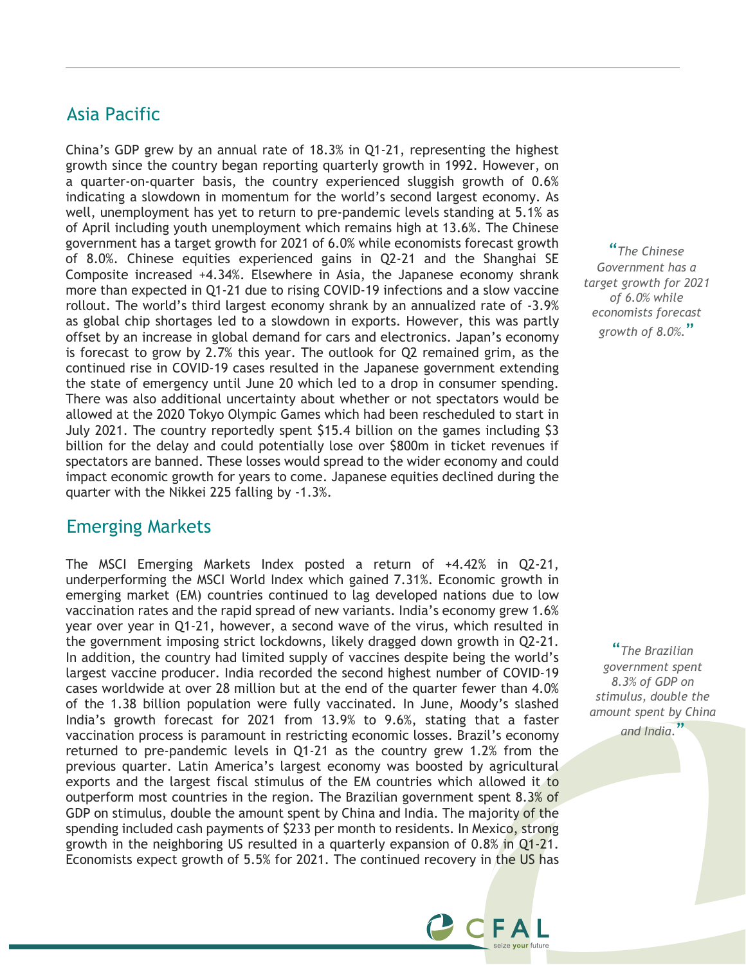#### Asia Pacific

China's GDP grew by an annual rate of 18.3% in Q1-21, representing the highest growth since the country began reporting quarterly growth in 1992. However, on a quarter-on-quarter basis, the country experienced sluggish growth of 0.6% indicating a slowdown in momentum for the world's second largest economy. As well, unemployment has yet to return to pre-pandemic levels standing at 5.1% as of April including youth unemployment which remains high at 13.6%. The Chinese government has a target growth for 2021 of 6.0% while economists forecast growth of 8.0%. Chinese equities experienced gains in Q2-21 and the Shanghai SE Composite increased +4.34%. Elsewhere in Asia, the Japanese economy shrank more than expected in Q1-21 due to rising COVID-19 infections and a slow vaccine rollout. The world's third largest economy shrank by an annualized rate of -3.9% as global chip shortages led to a slowdown in exports. However, this was partly offset by an increase in global demand for cars and electronics. Japan's economy is forecast to grow by 2.7% this year. The outlook for Q2 remained grim, as the continued rise in COVID-19 cases resulted in the Japanese government extending the state of emergency until June 20 which led to a drop in consumer spending. There was also additional uncertainty about whether or not spectators would be allowed at the 2020 Tokyo Olympic Games which had been rescheduled to start in July 2021. The country reportedly spent \$15.4 billion on the games including \$3 billion for the delay and could potentially lose over \$800m in ticket revenues if spectators are banned. These losses would spread to the wider economy and could impact economic growth for years to come. Japanese equities declined during the quarter with the Nikkei 225 falling by -1.3%.

#### Emerging Markets

The MSCI Emerging Markets Index posted a return of +4.42% in Q2-21, underperforming the MSCI World Index which gained 7.31%. Economic growth in emerging market (EM) countries continued to lag developed nations due to low vaccination rates and the rapid spread of new variants. India's economy grew 1.6% year over year in Q1-21, however, a second wave of the virus, which resulted in the government imposing strict lockdowns, likely dragged down growth in Q2-21. In addition, the country had limited supply of vaccines despite being the world's largest vaccine producer. India recorded the second highest number of COVID-19 cases worldwide at over 28 million but at the end of the quarter fewer than 4.0% of the 1.38 billion population were fully vaccinated. In June, Moody's slashed India's growth forecast for 2021 from 13.9% to 9.6%, stating that a faster vaccination process is paramount in restricting economic losses. Brazil's economy returned to pre-pandemic levels in Q1-21 as the country grew 1.2% from the previous quarter. Latin America's largest economy was boosted by agricultural exports and the largest fiscal stimulus of the EM countries which allowed it to outperform most countries in the region. The Brazilian government spent 8.3% of GDP on stimulus, double the amount spent by China and India. The majority of the spending included cash payments of \$233 per month to residents. In Mexico, strong growth in the neighboring US resulted in a quarterly expansion of 0.8% in Q1-21. Economists expect growth of 5.5% for 2021. The continued recovery in the US has

"*The Chinese Government has a target growth for 2021 of 6.0% while economists forecast growth of 8.0%.*"

"*The Brazilian government spent 8.3% of GDP on stimulus, double the amount spent by China* 

*and India.*"

CCFAL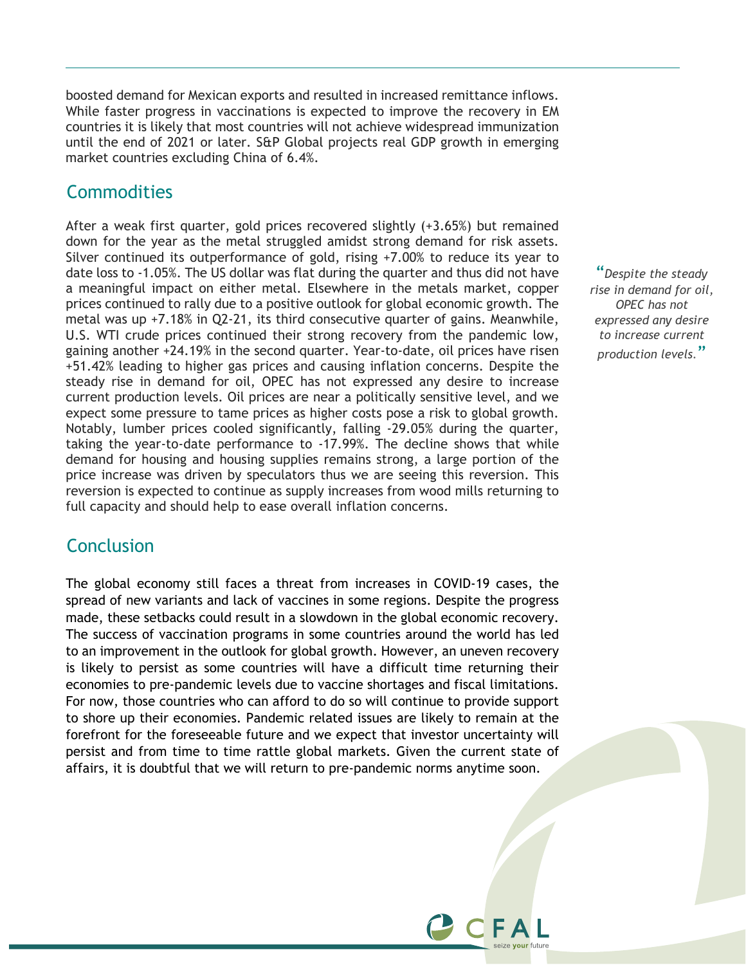boosted demand for Mexican exports and resulted in increased remittance inflows. While faster progress in vaccinations is expected to improve the recovery in EM countries it is likely that most countries will not achieve widespread immunization until the end of 2021 or later. S&P Global projects real GDP growth in emerging market countries excluding China of 6.4%.

#### **Commodities**

After a weak first quarter, gold prices recovered slightly (+3.65%) but remained down for the year as the metal struggled amidst strong demand for risk assets. Silver continued its outperformance of gold, rising +7.00% to reduce its year to date loss to -1.05%. The US dollar was flat during the quarter and thus did not have a meaningful impact on either metal. Elsewhere in the metals market, copper prices continued to rally due to a positive outlook for global economic growth. The metal was up +7.18% in Q2-21, its third consecutive quarter of gains. Meanwhile, U.S. WTI crude prices continued their strong recovery from the pandemic low, gaining another +24.19% in the second quarter. Year-to-date, oil prices have risen +51.42% leading to higher gas prices and causing inflation concerns. Despite the steady rise in demand for oil, OPEC has not expressed any desire to increase current production levels. Oil prices are near a politically sensitive level, and we expect some pressure to tame prices as higher costs pose a risk to global growth. Notably, lumber prices cooled significantly, falling -29.05% during the quarter, taking the year-to-date performance to -17.99%. The decline shows that while demand for housing and housing supplies remains strong, a large portion of the price increase was driven by speculators thus we are seeing this reversion. This reversion is expected to continue as supply increases from wood mills returning to full capacity and should help to ease overall inflation concerns.

#### **Conclusion**

The global economy still faces a threat from increases in COVID-19 cases, the spread of new variants and lack of vaccines in some regions. Despite the progress made, these setbacks could result in a slowdown in the global economic recovery. The success of vaccination programs in some countries around the world has led to an improvement in the outlook for global growth. However, an uneven recovery is likely to persist as some countries will have a difficult time returning their economies to pre-pandemic levels due to vaccine shortages and fiscal limitations. For now, those countries who can afford to do so will continue to provide support to shore up their economies. Pandemic related issues are likely to remain at the forefront for the foreseeable future and we expect that investor uncertainty will persist and from time to time rattle global markets. Given the current state of affairs, it is doubtful that we will return to pre-pandemic norms anytime soon.

"*Despite the steady rise in demand for oil, OPEC has not expressed any desire to increase current production levels.*"